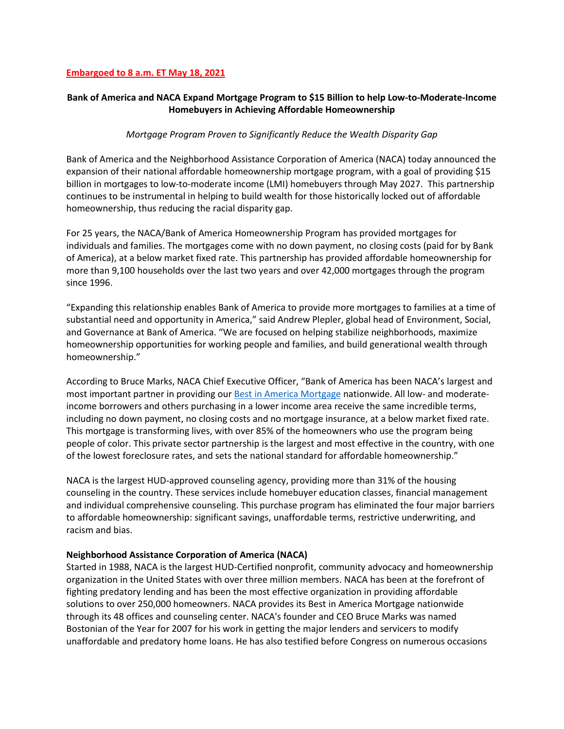#### **Embargoed to 8 a.m. ET May 18, 2021**

# **Bank of America and NACA Expand Mortgage Program to \$15 Billion to help Low-to-Moderate-Income Homebuyers in Achieving Affordable Homeownership**

## *Mortgage Program Proven to Significantly Reduce the Wealth Disparity Gap*

Bank of America and the Neighborhood Assistance Corporation of America [\(NACA\)](http://www.naca.com/) today announced the expansion of their national affordable homeownership mortgage program, with a goal of providing \$15 billion in mortgages to low-to-moderate income (LMI) homebuyers through May 2027. This partnership continues to be instrumental in helping to build wealth for those historically locked out of affordable homeownership, thus reducing the racial disparity gap.

For 25 years, the NACA/Bank of America Homeownership Program has provided mortgages for individuals and families. The mortgages come with no down payment, no closing costs (paid for by Bank of America), at a below market fixed rate. This partnership has provided affordable homeownership for more than 9,100 households over the last two years and over 42,000 mortgages through the program since 1996.

"Expanding this relationship enables Bank of America to provide more mortgages to families at a time of substantial need and opportunity in America," said Andrew Plepler, global head of Environment, Social, and Governance at Bank of America. "We are focused on helping stabilize neighborhoods, maximize homeownership opportunities for working people and families, and build generational wealth through homeownership."

According to Bruce Marks, NACA Chief Executive Officer, "Bank of America has been NACA's largest and most important partner in providing our [Best in America Mortgage](https://www.naca.com/) nationwide. All low- and moderateincome borrowers and others purchasing in a lower income area receive the same incredible terms, including no down payment, no closing costs and no mortgage insurance, at a below market fixed rate. This mortgage is transforming lives, with over 85% of the homeowners who use the program being people of color. This private sector partnership is the largest and most effective in the country, with one of the lowest foreclosure rates, and sets the national standard for affordable homeownership."

NACA is the largest HUD-approved counseling agency, providing more than 31% of the housing counseling in the country. These services include homebuyer education classes, financial management and individual comprehensive counseling. This purchase program has eliminated the four major barriers to affordable homeownership: significant savings, unaffordable terms, restrictive underwriting, and racism and bias.

## **Neighborhood Assistance Corporation of America (NACA)**

Started in 1988, NACA is the largest HUD-Certified nonprofit, community advocacy and homeownership organization in the United States with over three million members. NACA has been at the forefront of fighting predatory lending and has been the most effective organization in providing affordable solutions to over 250,000 homeowners. NACA provides its Best in America Mortgage nationwide through its 48 offices and counseling center. NACA's founder and CEO Bruce Marks was named Bostonian of the Year for 2007 for his work in getting the major lenders and servicers to modify unaffordable and predatory home loans. He has also testified before Congress on numerous occasions